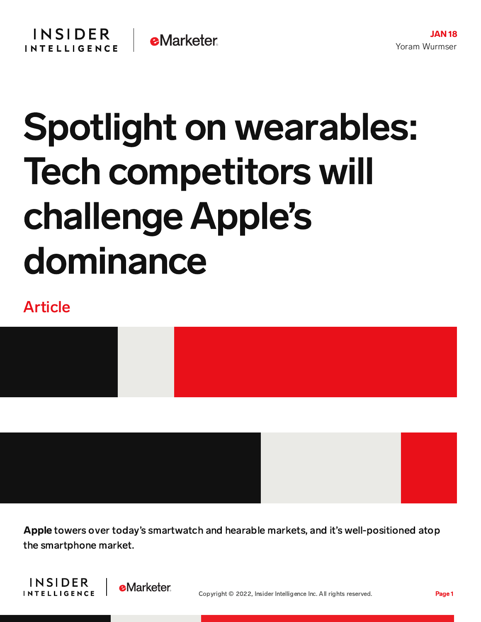## Spotlight on wearables: Tech competitors will challenge Apple's dominance

## Article



Apple towers over today's smartwatch and hearable markets, and it's well-positioned atop the smartphone market.